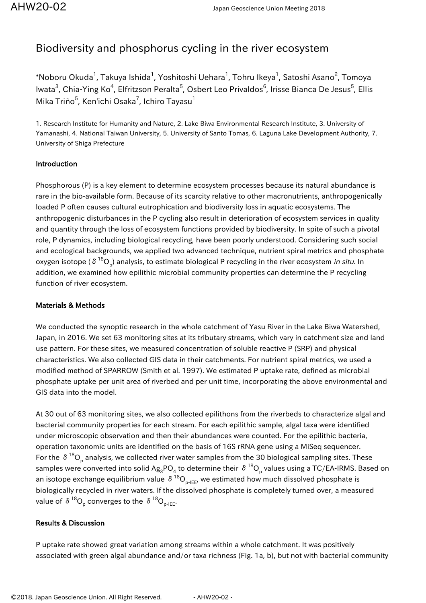## Biodiversity and phosphorus cycling in the river ecosystem

 $^\ast$ Noboru Okuda $^1$ , Takuya Ishida $^1$ , Yoshitoshi Uehara $^1$ , Tohru Ikeya $^1$ , Satoshi Asano $^2$ , Tomoya lwata<sup>3</sup>, Chia-Ying Ko<sup>4</sup>, Elfritzson Peralta<sup>5</sup>, Osbert Leo Privaldos<sup>6</sup>, Irisse Bianca De Jesus<sup>5</sup>, Ellis Mika Triño $^5$ , Ken'ichi Osaka $^7$ , Ichiro Tayasu $^1$ 

1. Research Institute for Humanity and Nature, 2. Lake Biwa Environmental Research Institute, 3. University of Yamanashi, 4. National Taiwan University, 5. University of Santo Tomas, 6. Laguna Lake Development Authority, 7. University of Shiga Prefecture

## Introduction

Phosphorous (P) is a key element to determine ecosystem processes because its natural abundance is rare in the bio-available form. Because of its scarcity relative to other macronutrients, anthropogenically loaded P often causes cultural eutrophication and biodiversity loss in aquatic ecosystems. The anthropogenic disturbances in the P cycling also result in deterioration of ecosystem services in quality and quantity through the loss of ecosystem functions provided by biodiversity. In spite of such a pivotal role, P dynamics, including biological recycling, have been poorly understood. Considering such social and ecological backgrounds, we applied two advanced technique, nutrient spiral metrics and phosphate oxygen isotope (  $\delta$   $^{18}$ O<sub>p</sub>) analysis, to estimate biological P recycling in the river ecosystem *in situ*. In addition, we examined how epilithic microbial community properties can determine the P recycling function of river ecosystem.

## Materials & Methods

We conducted the synoptic research in the whole catchment of Yasu River in the Lake Biwa Watershed, Japan, in 2016. We set 63 monitoring sites at its tributary streams, which vary in catchment size and land use pattern. For these sites, we measured concentration of soluble reactive P (SRP) and physical characteristics. We also collected GIS data in their catchments. For nutrient spiral metrics, we used a modified method of SPARROW (Smith et al. 1997). We estimated P uptake rate, defined as microbial phosphate uptake per unit area of riverbed and per unit time, incorporating the above environmental and GIS data into the model.

At 30 out of 63 monitoring sites, we also collected epilithons from the riverbeds to characterize algal and bacterial community properties for each stream. For each epilithic sample, algal taxa were identified under microscopic observation and then their abundances were counted. For the epilithic bacteria, operation taxonomic units are identified on the basis of 16S rRNA gene using a MiSeq sequencer. For the  $\,\delta^{\,18}{\rm O}_{_{\rm p}}$  analysis, we collected river water samples from the 30 biological sampling sites. These samples were converted into solid Ag $_3$ PO $_4$  to determine their  $\,\delta\,^{18}$ O<sub>p</sub> values using a TC/EA-IRMS. Based on an isotope exchange equilibrium value  $\delta^{18}O_{p-IEE}$ , we estimated how much dissolved phosphate is biologically recycled in river waters. If the dissolved phosphate is completely turned over, a measured value of  $\delta$   $^{18} \mathsf{O}_\mathsf{p}$  converges to the  $\,\delta\,$   $^{18} \mathsf{O}_\mathsf{p\text{-}B E^\mathsf{r}}\,$ 

## Results & Discussion

P uptake rate showed great variation among streams within a whole catchment. It was positively associated with green algal abundance and/or taxa richness (Fig. 1a, b), but not with bacterial community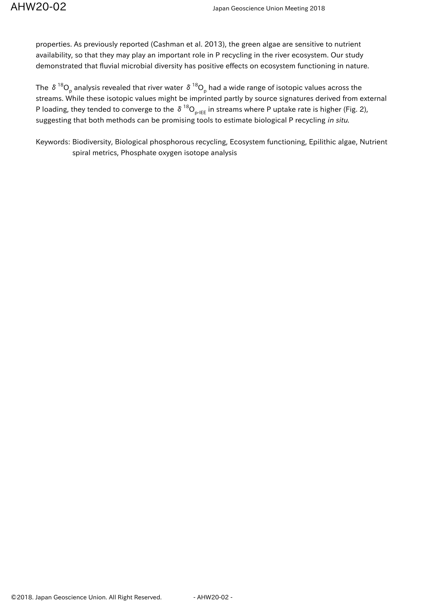properties. As previously reported (Cashman et al. 2013), the green algae are sensitive to nutrient availability, so that they may play an important role in P recycling in the river ecosystem. Our study demonstrated that fluvial microbial diversity has positive effects on ecosystem functioning in nature.

The  $\,\delta\,^{18}O_{_{\rm p}}$  analysis revealed that river water  $\,\delta\,^{18}O_{_{\rm p}}$  had a wide range of isotopic values across the streams. While these isotopic values might be imprinted partly by source signatures derived from external P loading, they tended to converge to the  $\delta^{18}O_{p\text{-HE}}$  in streams where P uptake rate is higher (Fig. 2), suggesting that both methods can be promising tools to estimate biological P recycling in situ.

Keywords: Biodiversity, Biological phosphorous recycling, Ecosystem functioning, Epilithic algae, Nutrient spiral metrics, Phosphate oxygen isotope analysis